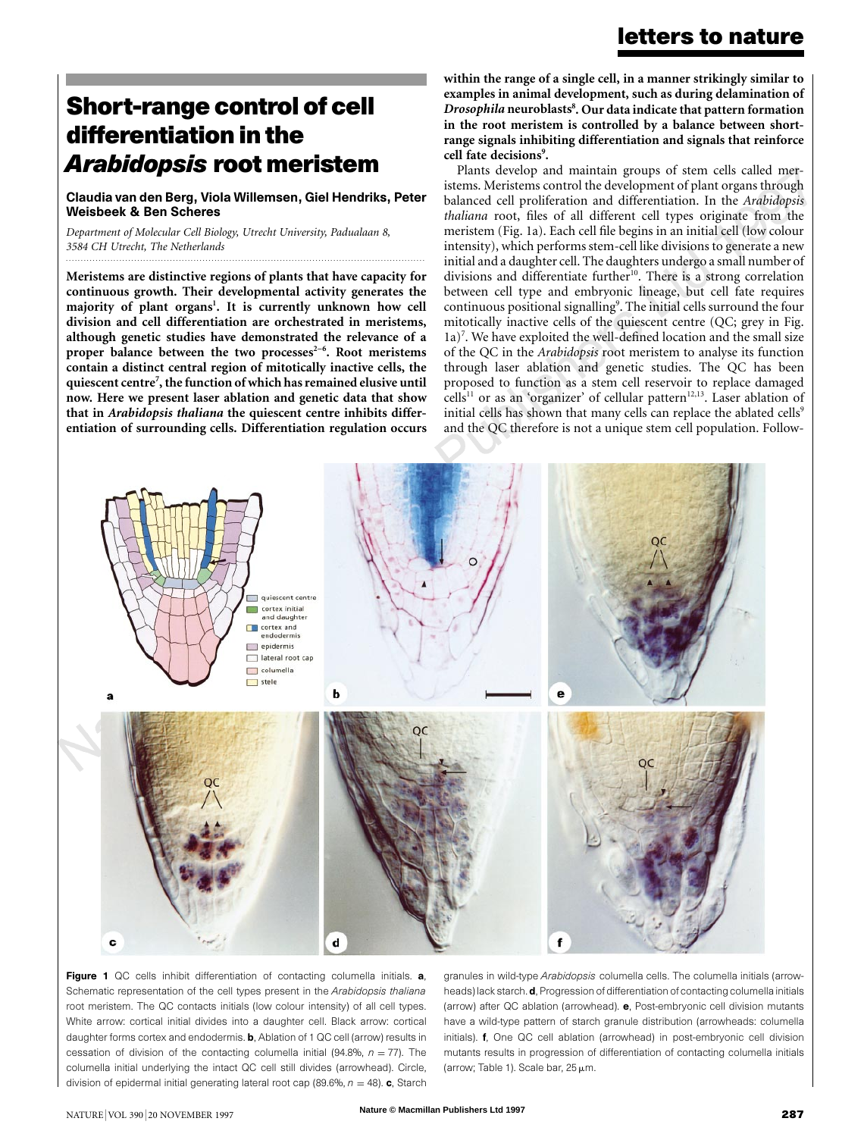# **Short-range control of cell differentiation in the** *Arabidopsis* **root meristem**

Claudia van den Berg, Viola Willemsen, Giel Hendriks, Peter Weisbeek & Ben Scheres

*.........................................................................................................................*

*Department of Molecular Cell Biology, Utrecht University, Padualaan 8, 3584 CH Utrecht, The Netherlands*

**Meristems are distinctive regions of plants that have capacity for continuous growth. Their developmental activity generates the** majority of plant organs<sup>1</sup>. It is currently unknown how cell **division and cell differentiation are orchestrated in meristems, although genetic studies have demonstrated the relevance of a** proper balance between the two processes<sup>2-6</sup>. Root meristems **contain a distinct central region of mitotically inactive cells, the quiescent centre7 , the function of which has remained elusive until now. Here we present laser ablation and genetic data that show that in** *Arabidopsis thaliana* **the quiescent centre inhibits differentiation of surrounding cells. Differentiation regulation occurs** **within the range of a single cell, in a manner strikingly similar to examples in animal development, such as during delamination of** *Drosophila* **neuroblasts8 . Our data indicate that pattern formation in the root meristem is controlled by a balance between shortrange signals inhibiting differentiation and signals that reinforce** cell fate decisions<sup>9</sup>.

Plants develop and maintain groups of stem cells called meristems. Meristems control the development of plant organs through balanced cell proliferation and differentiation. In the *Arabidopsis thaliana* root, files of all different cell types originate from the meristem (Fig. 1a). Each cell file begins in an initial cell (low colour intensity), which performs stem-cell like divisions to generate a new initial and a daughter cell. The daughters undergo a small number of divisions and differentiate further<sup>10</sup>. There is a strong correlation between cell type and embryonic lineage, but cell fate requires continuous positional signalling<sup>9</sup>. The initial cells surround the four mitotically inactive cells of the quiescent centre (QC; grey in Fig. 1a)<sup>7</sup>. We have exploited the well-defined location and the small size of the QC in the *Arabidopsis* root meristem to analyse its function through laser ablation and genetic studies. The QC has been proposed to function as a stem cell reservoir to replace damaged cells<sup>11</sup> or as an 'organizer' of cellular pattern<sup>12,13</sup>. Laser ablation of initial cells has shown that many cells can replace the ablated cells<sup>9</sup> and the QC therefore is not a unique stem cell population. Follow-



Figure 1 QC cells inhibit differentiation of contacting columella initials. a, Schematic representation of the cell types present in the *Arabidopsis thaliana* root meristem. The QC contacts initials (low colour intensity) of all cell types. White arrow: cortical initial divides into a daughter cell. Black arrow: cortical daughter forms cortex and endodermis. **b**, Ablation of 1 QC cell (arrow) results in cessation of division of the contacting columella initial (94.8%,  $n = 77$ ). The columella initial underlying the intact QC cell still divides (arrowhead). Circle, division of epidermal initial generating lateral root cap (89.6%,  $n = 48$ ). c, Starch

granules in wild-type *Arabidopsis* columella cells. The columella initials (arrowheads) lack starch. d, Progression of differentiation of contacting columella initials (arrow) after QC ablation (arrowhead). e, Post-embryonic cell division mutants have a wild-type pattern of starch granule distribution (arrowheads: columella initials). f, One QC cell ablation (arrowhead) in post-embryonic cell division mutants results in progression of differentiation of contacting columella initials (arrow; Table 1). Scale bar,  $25 \mu m$ .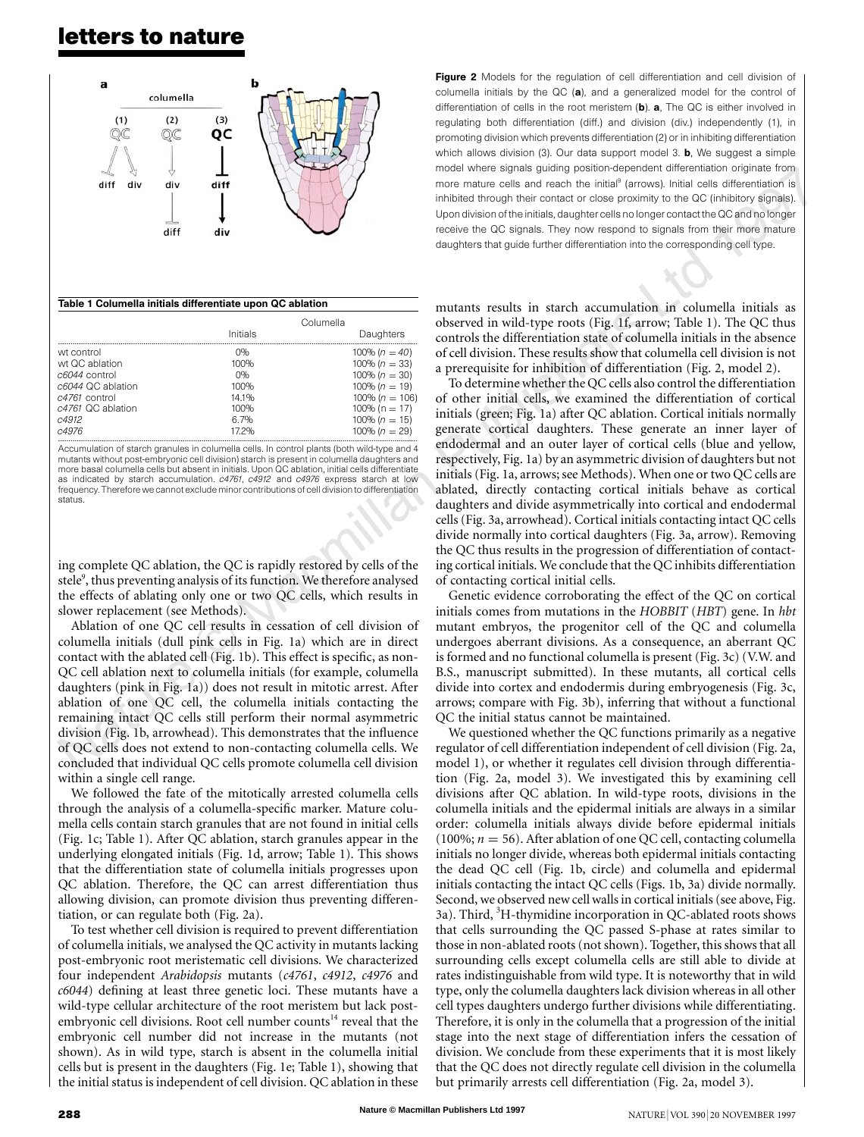## **letters to nature**



### Table 1 Columella initials differentiate upon QC ablation

|                   | Columella |                     |
|-------------------|-----------|---------------------|
|                   | Initials  | Daughters           |
| wt control        | በ‰        | 100% $(n = 40)$     |
| wt QC ablation    | 100%      | 100% $(n = 33)$     |
| $c6044$ control   | 0%        | 100% $(n = 30)$     |
| c6044 QC ablation | 100%      | 100% $(n = 19)$     |
| $c4761$ control   | 141%      | 100\% ( $n = 106$ ) |
| c4761 QC ablation | 100%      | $100\%$ (n = 17)    |
| c4912             | 6.7%      | 100% $(n = 15)$     |
| c4976             | 172%      | 100% $(n = 29)$     |
|                   |           |                     |

Accumulation of starch granules in columella cells. In control plants (both wild-type and 4 mutants without post-embryonic cell division) starch is present in columella daughters and more basal columella cells but absent in initials. Upon QC ablation, initial cells differentiate as indicated by starch accumulation. *c4761*, *c4912* and *c4976* express starch at low frequency. Therefore we cannot exclude minor contributions of cell division to differentiation status.

ing complete QC ablation, the QC is rapidly restored by cells of the stele<sup>9</sup>, thus preventing analysis of its function. We therefore analysed the effects of ablating only one or two QC cells, which results in slower replacement (see Methods).

Ablation of one QC cell results in cessation of cell division of columella initials (dull pink cells in Fig. 1a) which are in direct contact with the ablated cell (Fig. 1b). This effect is specific, as non-QC cell ablation next to columella initials (for example, columella daughters (pink in Fig. 1a)) does not result in mitotic arrest. After ablation of one QC cell, the columella initials contacting the remaining intact QC cells still perform their normal asymmetric division (Fig. 1b, arrowhead). This demonstrates that the influence of QC cells does not extend to non-contacting columella cells. We concluded that individual QC cells promote columella cell division within a single cell range.

We followed the fate of the mitotically arrested columella cells through the analysis of a columella-specific marker. Mature columella cells contain starch granules that are not found in initial cells (Fig. 1c; Table 1). After QC ablation, starch granules appear in the underlying elongated initials (Fig. 1d, arrow; Table 1). This shows that the differentiation state of columella initials progresses upon QC ablation. Therefore, the QC can arrest differentiation thus allowing division, can promote division thus preventing differentiation, or can regulate both (Fig. 2a).

To test whether cell division is required to prevent differentiation of columella initials, we analysed the QC activity in mutants lacking post-embryonic root meristematic cell divisions. We characterized four independent *Arabidopsis* mutants (*c4761*, *c4912*, *c4976* and *c6044*) defining at least three genetic loci. These mutants have a wild-type cellular architecture of the root meristem but lack postembryonic cell divisions. Root cell number counts<sup>14</sup> reveal that the embryonic cell number did not increase in the mutants (not shown). As in wild type, starch is absent in the columella initial cells but is present in the daughters (Fig. 1e; Table 1), showing that the initial status is independent of cell division. QC ablation in these

Figure 2 Models for the regulation of cell differentiation and cell division of columella initials by the QC (a), and a generalized model for the control of differentiation of cells in the root meristem  $(b)$ . a, The QC is either involved in regulating both differentiation (diff.) and division (div.) independently (1), in promoting division which prevents differentiation (2) or in inhibiting differentiation which allows division (3). Our data support model 3. **b**, We suggest a simple model where signals guiding position-dependent differentiation originate from more mature cells and reach the initial<sup>9</sup> (arrows). Initial cells differentiation is inhibited through their contact or close proximity to the QC (inhibitory signals). Upon division of the initials, daughter cells no longer contact the QC and no longer receive the QC signals. They now respond to signals from their more mature daughters that guide further differentiation into the corresponding cell type.

mutants results in starch accumulation in columella initials as observed in wild-type roots (Fig. 1f, arrow; Table 1). The QC thus controls the differentiation state of columella initials in the absence of cell division. These results show that columella cell division is not a prerequisite for inhibition of differentiation (Fig. 2, model 2).

To determine whether the QC cells also control the differentiation of other initial cells, we examined the differentiation of cortical initials (green; Fig. 1a) after QC ablation. Cortical initials normally generate cortical daughters. These generate an inner layer of endodermal and an outer layer of cortical cells (blue and yellow, respectively, Fig. 1a) by an asymmetric division of daughters but not initials (Fig. 1a, arrows; see Methods). When one or two QC cells are ablated, directly contacting cortical initials behave as cortical daughters and divide asymmetrically into cortical and endodermal cells(Fig. 3a, arrowhead). Cortical initials contacting intact QC cells divide normally into cortical daughters (Fig. 3a, arrow). Removing the QC thus results in the progression of differentiation of contacting cortical initials. We conclude that the QC inhibits differentiation of contacting cortical initial cells.

Genetic evidence corroborating the effect of the QC on cortical initials comes from mutations in the *HOBBIT* (*HBT*) gene. In *hbt* mutant embryos, the progenitor cell of the QC and columella undergoes aberrant divisions. As a consequence, an aberrant QC is formed and no functional columella is present (Fig. 3c) (V.W. and B.S., manuscript submitted). In these mutants, all cortical cells divide into cortex and endodermis during embryogenesis (Fig. 3c, arrows; compare with Fig. 3b), inferring that without a functional QC the initial status cannot be maintained.

We questioned whether the QC functions primarily as a negative regulator of cell differentiation independent of cell division (Fig. 2a, model 1), or whether it regulates cell division through differentiation (Fig. 2a, model 3). We investigated this by examining cell divisions after QC ablation. In wild-type roots, divisions in the columella initials and the epidermal initials are always in a similar order: columella initials always divide before epidermal initials (100%;  $n = 56$ ). After ablation of one QC cell, contacting columella initials no longer divide, whereas both epidermal initials contacting the dead QC cell (Fig. 1b, circle) and columella and epidermal initials contacting the intact QC cells (Figs. 1b, 3a) divide normally. Second, we observed new cell walls in cortical initials (see above, Fig. 3a). Third, <sup>3</sup>H-thymidine incorporation in QC-ablated roots shows that cells surrounding the QC passed S-phase at rates similar to those in non-ablated roots(not shown). Together, this showsthat all surrounding cells except columella cells are still able to divide at rates indistinguishable from wild type. It is noteworthy that in wild type, only the columella daughters lack division whereas in all other cell types daughters undergo further divisions while differentiating. Therefore, it is only in the columella that a progression of the initial stage into the next stage of differentiation infers the cessation of division. We conclude from these experiments that it is most likely that the QC does not directly regulate cell division in the columella but primarily arrests cell differentiation (Fig. 2a, model 3).